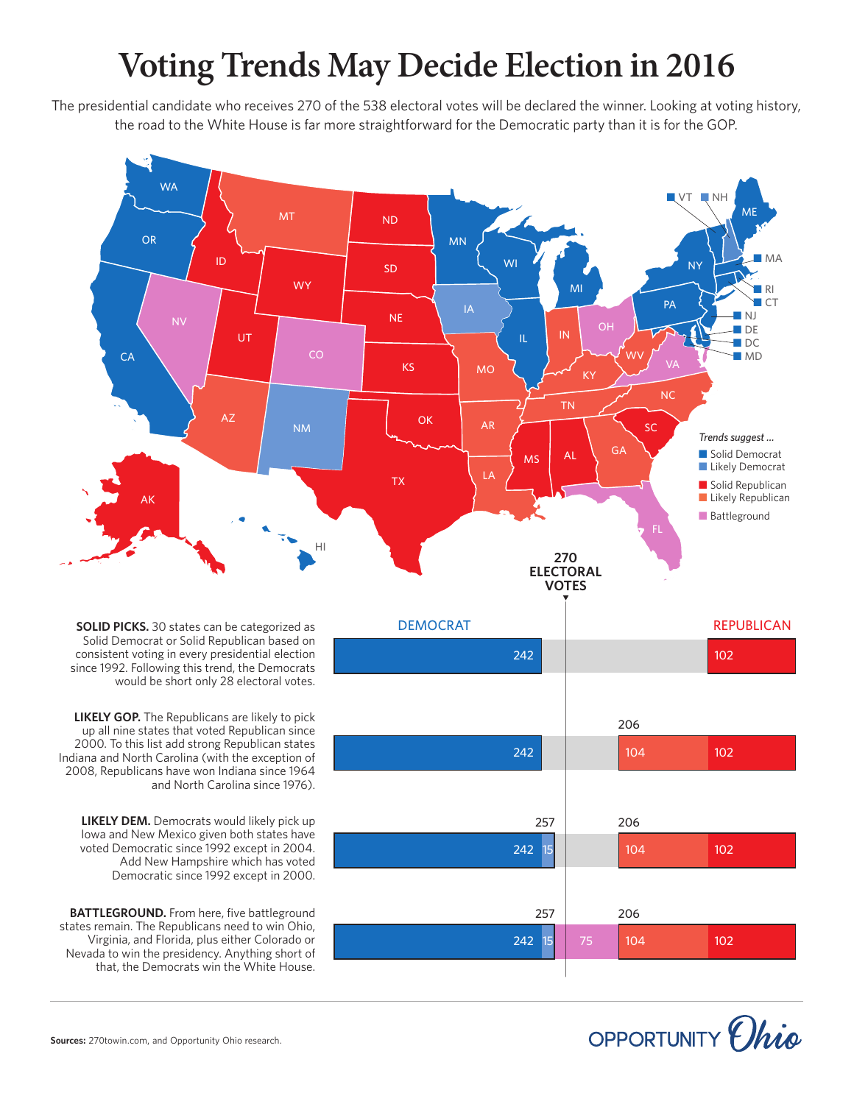## **Voting Trends May Decide Election in 2016**

The presidential candidate who receives 270 of the 538 electoral votes will be declared the winner. Looking at voting history, the road to the White House is far more straightforward for the Democratic party than it is for the GOP.



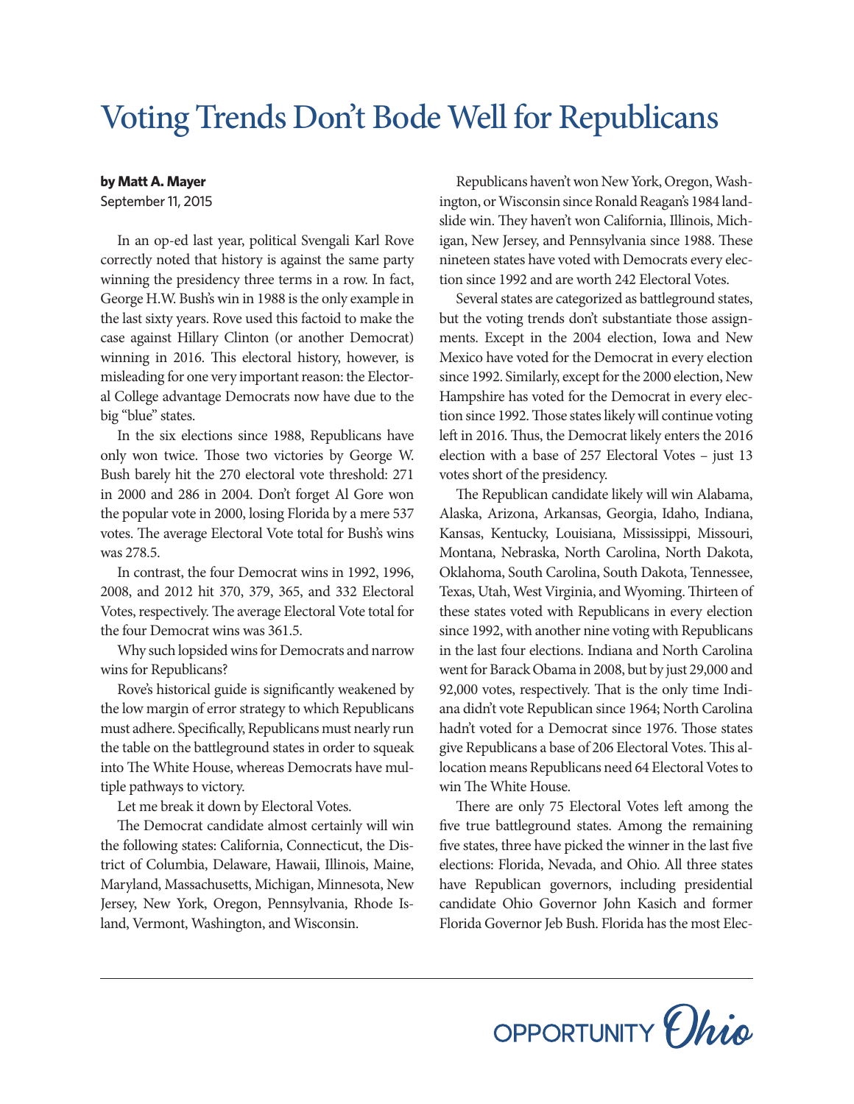## Voting Trends Don't Bode Well for Republicans

## **by Matt A. Mayer**

September 11, 2015

In an op-ed last year, political Svengali Karl Rove correctly noted that history is against the same party winning the presidency three terms in a row. In fact, George H.W. Bush's win in 1988 is the only example in the last sixty years. Rove used this factoid to make the case against Hillary Clinton (or another Democrat) winning in 2016. This electoral history, however, is misleading for one very important reason: the Electoral College advantage Democrats now have due to the big "blue" states.

In the six elections since 1988, Republicans have only won twice. Those two victories by George W. Bush barely hit the 270 electoral vote threshold: 271 in 2000 and 286 in 2004. Don't forget Al Gore won the popular vote in 2000, losing Florida by a mere 537 votes. The average Electoral Vote total for Bush's wins was 278.5.

In contrast, the four Democrat wins in 1992, 1996, 2008, and 2012 hit 370, 379, 365, and 332 Electoral Votes, respectively. The average Electoral Vote total for the four Democrat wins was 361.5.

Why such lopsided wins for Democrats and narrow wins for Republicans?

Rove's historical guide is significantly weakened by the low margin of error strategy to which Republicans must adhere. Specifically, Republicans must nearly run the table on the battleground states in order to squeak into The White House, whereas Democrats have multiple pathways to victory.

Let me break it down by Electoral Votes.

The Democrat candidate almost certainly will win the following states: California, Connecticut, the District of Columbia, Delaware, Hawaii, Illinois, Maine, Maryland, Massachusetts, Michigan, Minnesota, New Jersey, New York, Oregon, Pennsylvania, Rhode Island, Vermont, Washington, and Wisconsin.

Republicans haven't won New York, Oregon, Washington, or Wisconsin since Ronald Reagan's 1984 landslide win. They haven't won California, Illinois, Michigan, New Jersey, and Pennsylvania since 1988. These nineteen states have voted with Democrats every election since 1992 and are worth 242 Electoral Votes.

Several states are categorized as battleground states, but the voting trends don't substantiate those assignments. Except in the 2004 election, Iowa and New Mexico have voted for the Democrat in every election since 1992. Similarly, except for the 2000 election, New Hampshire has voted for the Democrat in every election since 1992. Those states likely will continue voting left in 2016. Thus, the Democrat likely enters the 2016 election with a base of 257 Electoral Votes – just 13 votes short of the presidency.

The Republican candidate likely will win Alabama, Alaska, Arizona, Arkansas, Georgia, Idaho, Indiana, Kansas, Kentucky, Louisiana, Mississippi, Missouri, Montana, Nebraska, North Carolina, North Dakota, Oklahoma, South Carolina, South Dakota, Tennessee, Texas, Utah, West Virginia, and Wyoming. Thirteen of these states voted with Republicans in every election since 1992, with another nine voting with Republicans in the last four elections. Indiana and North Carolina went for Barack Obama in 2008, but by just 29,000 and 92,000 votes, respectively. That is the only time Indiana didn't vote Republican since 1964; North Carolina hadn't voted for a Democrat since 1976. Those states give Republicans a base of 206 Electoral Votes. This allocation means Republicans need 64 Electoral Votes to win The White House.

There are only 75 Electoral Votes left among the five true battleground states. Among the remaining five states, three have picked the winner in the last five elections: Florida, Nevada, and Ohio. All three states have Republican governors, including presidential candidate Ohio Governor John Kasich and former Florida Governor Jeb Bush. Florida has the most Elec-